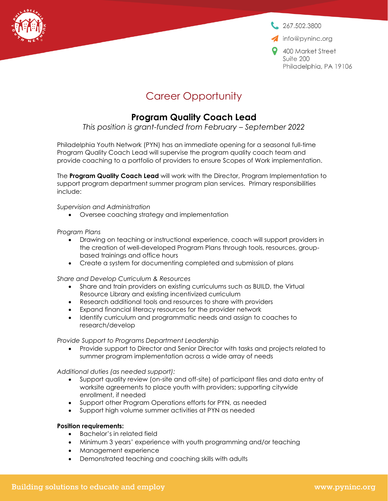

 $267.502.3800$ 

info@pyninc.org

9 400 Market Street Suite 200 Philadelphia, PA 19106

## Career Opportunity

## **Program Quality Coach Lead**

*This position is grant-funded from February – September 2022*

Philadelphia Youth Network (PYN) has an immediate opening for a seasonal full-time Program Quality Coach Lead will supervise the program quality coach team and provide coaching to a portfolio of providers to ensure Scopes of Work implementation.

The **Program Quality Coach Lead** will work with the Director, Program Implementation to support program department summer program plan services. Primary responsibilities include:

*Supervision and Administration*

• Oversee coaching strategy and implementation

*Program Plans*

- Drawing on teaching or instructional experience, coach will support providers in the creation of well-developed Program Plans through tools, resources, groupbased trainings and office hours
- Create a system for documenting completed and submission of plans

*Share and Develop Curriculum & Resources*

- Share and train providers on existing curriculums such as BUILD, the Virtual Resource Library and existing incentivized curriculum
- Research additional tools and resources to share with providers
- Expand financial literacy resources for the provider network
- Identify curriculum and programmatic needs and assign to coaches to research/develop

*Provide Support to Programs Department Leadership*

• Provide support to Director and Senior Director with tasks and projects related to summer program implementation across a wide array of needs

*Additional duties (as needed support):*

- Support quality review (on-site and off-site) of participant files and data entry of worksite agreements to place youth with providers; supporting citywide enrollment, if needed
- Support other Program Operations efforts for PYN, as needed
- Support high volume summer activities at PYN as needed

## **Position requirements:**

- Bachelor's in related field
- Minimum 3 years' experience with youth programming and/or teaching
- Management experience
- Demonstrated teaching and coaching skills with adults